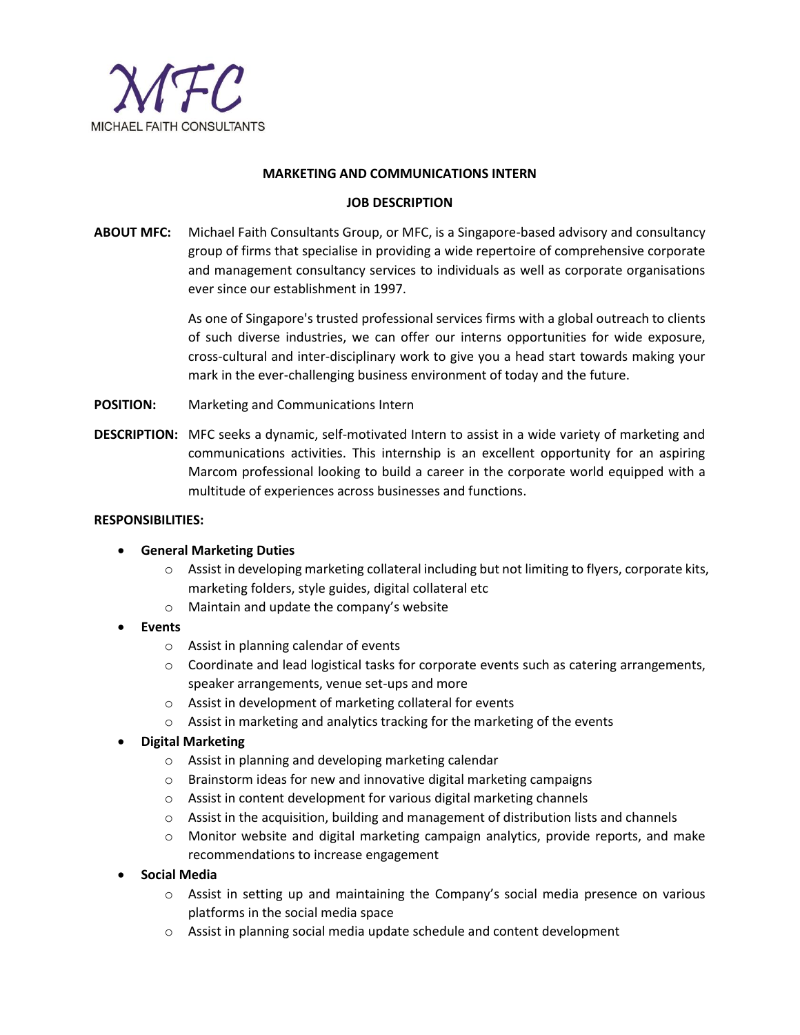

## **MARKETING AND COMMUNICATIONS INTERN**

## **JOB DESCRIPTION**

**ABOUT MFC:** Michael Faith Consultants Group, or MFC, is a Singapore-based advisory and consultancy group of firms that specialise in providing a wide repertoire of comprehensive corporate and management consultancy services to individuals as well as corporate organisations ever since our establishment in 1997.

> As one of Singapore's trusted professional services firms with a global outreach to clients of such diverse industries, we can offer our interns opportunities for wide exposure, cross-cultural and inter-disciplinary work to give you a head start towards making your mark in the ever-challenging business environment of today and the future.

- **POSITION:** Marketing and Communications Intern
- **DESCRIPTION:** MFC seeks a dynamic, self-motivated Intern to assist in a wide variety of marketing and communications activities. This internship is an excellent opportunity for an aspiring Marcom professional looking to build a career in the corporate world equipped with a multitude of experiences across businesses and functions.

#### **RESPONSIBILITIES:**

## **General Marketing Duties**

- $\circ$  Assist in developing marketing collateral including but not limiting to flyers, corporate kits, marketing folders, style guides, digital collateral etc
- o Maintain and update the company's website
- **Events**
	- o Assist in planning calendar of events
	- $\circ$  Coordinate and lead logistical tasks for corporate events such as catering arrangements, speaker arrangements, venue set-ups and more
	- o Assist in development of marketing collateral for events
	- o Assist in marketing and analytics tracking for the marketing of the events
- **Digital Marketing**
	- o Assist in planning and developing marketing calendar
	- $\circ$  Brainstorm ideas for new and innovative digital marketing campaigns
	- o Assist in content development for various digital marketing channels
	- $\circ$  Assist in the acquisition, building and management of distribution lists and channels
	- o Monitor website and digital marketing campaign analytics, provide reports, and make recommendations to increase engagement
- **Social Media**
	- o Assist in setting up and maintaining the Company's social media presence on various platforms in the social media space
	- o Assist in planning social media update schedule and content development